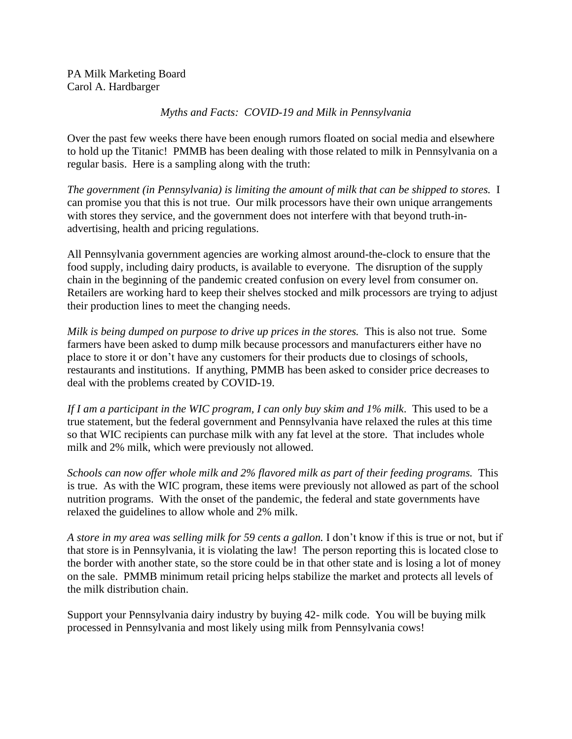PA Milk Marketing Board Carol A. Hardbarger

## *Myths and Facts: COVID-19 and Milk in Pennsylvania*

Over the past few weeks there have been enough rumors floated on social media and elsewhere to hold up the Titanic! PMMB has been dealing with those related to milk in Pennsylvania on a regular basis. Here is a sampling along with the truth:

*The government (in Pennsylvania) is limiting the amount of milk that can be shipped to stores.* I can promise you that this is not true. Our milk processors have their own unique arrangements with stores they service, and the government does not interfere with that beyond truth-inadvertising, health and pricing regulations.

All Pennsylvania government agencies are working almost around-the-clock to ensure that the food supply, including dairy products, is available to everyone. The disruption of the supply chain in the beginning of the pandemic created confusion on every level from consumer on. Retailers are working hard to keep their shelves stocked and milk processors are trying to adjust their production lines to meet the changing needs.

*Milk is being dumped on purpose to drive up prices in the stores.* This is also not true. Some farmers have been asked to dump milk because processors and manufacturers either have no place to store it or don't have any customers for their products due to closings of schools, restaurants and institutions. If anything, PMMB has been asked to consider price decreases to deal with the problems created by COVID-19.

*If I am a participant in the WIC program, I can only buy skim and 1% milk*. This used to be a true statement, but the federal government and Pennsylvania have relaxed the rules at this time so that WIC recipients can purchase milk with any fat level at the store. That includes whole milk and 2% milk, which were previously not allowed.

*Schools can now offer whole milk and 2% flavored milk as part of their feeding programs.* This is true. As with the WIC program, these items were previously not allowed as part of the school nutrition programs. With the onset of the pandemic, the federal and state governments have relaxed the guidelines to allow whole and 2% milk.

*A store in my area was selling milk for 59 cents a gallon.* I don't know if this is true or not, but if that store is in Pennsylvania, it is violating the law! The person reporting this is located close to the border with another state, so the store could be in that other state and is losing a lot of money on the sale. PMMB minimum retail pricing helps stabilize the market and protects all levels of the milk distribution chain.

Support your Pennsylvania dairy industry by buying 42- milk code. You will be buying milk processed in Pennsylvania and most likely using milk from Pennsylvania cows!